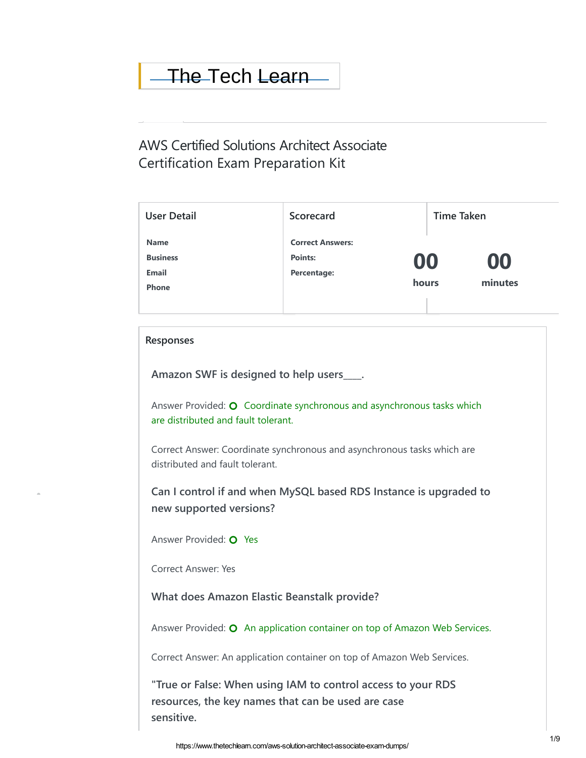# [The T](https://wordpress.org/support/wordpress-version/version-5-9-1/)ech [Learn](https://www.thetechlearn.com/wp-admin/update-core.php)

# Certification Exam Preparation Kit AWS Certified Solutions Architect Associate

| <b>User Detail</b> | <b>Scorecard</b>        | <b>Time Taken</b> |    |
|--------------------|-------------------------|-------------------|----|
| <b>Name</b>        | <b>Correct Answers:</b> |                   |    |
| <b>Business</b>    | Points:<br>00           |                   | 00 |
| <b>Email</b>       | Percentage:             | minutes<br>hours  |    |
| <b>Phone</b>       |                         |                   |    |
|                    |                         |                   |    |

## **Responses**

 $\hat{\mathcal{L}}$ 

**Amazon SWF is designed to help users\_\_\_\_.**

Answer Provided:  $\bigcirc$  Coordinate synchronous and asynchronous tasks which are distributed and fault tolerant.

Correct Answer: Coordinate synchronous and asynchronous tasks which are distributed and fault tolerant.

**Can I control if and when MySQL based RDS Instance is upgraded to new supported versions?**

Answer Provided: O Yes

Correct Answer: Yes

**What does Amazon Elastic Beanstalk provide?**

Answer Provided:  $\bullet$  An application container on top of Amazon Web Services.

Correct Answer: An application container on top of Amazon Web Services.

**"True or False: When using IAM to control access to your RDS resources, the key names that can be used are case sensitive.**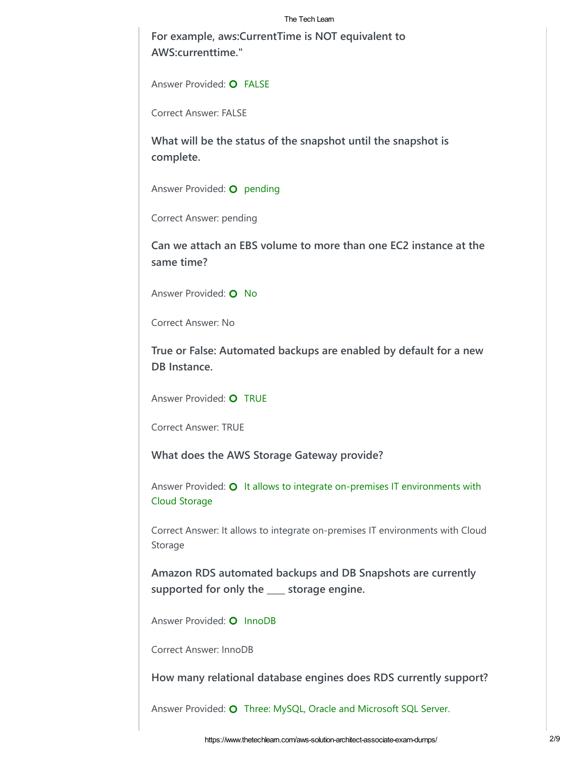#### The Tech Learn

**For example, aws:CurrentTime is NOT equivalent to AWS:currenttime."**

Answer Provided: O FALSE

Correct Answer: FALSE

**What will be the status of the snapshot until the snapshot is complete.**

Answer Provided: **O** pending

Correct Answer: pending

**Can we attach an EBS volume to more than one EC2 instance at the same time?**

Answer Provided: **O** No

Correct Answer: No

**True or False: Automated backups are enabled by default for a new DB Instance.**

Answer Provided: **O** TRUE

Correct Answer: TRUE

**What does the AWS Storage Gateway provide?**

Answer Provided:  $\bullet$  It allows to integrate on-premises IT environments with Cloud Storage

Correct Answer: It allows to integrate on-premises IT environments with Cloud Storage

**Amazon RDS automated backups and DB Snapshots are currently supported for only the \_\_\_\_ storage engine.**

Answer Provided: O InnoDB

Correct Answer: InnoDB

**How many relational database engines does RDS currently support?**

Answer Provided: O Three: MySQL, Oracle and Microsoft SQL Server.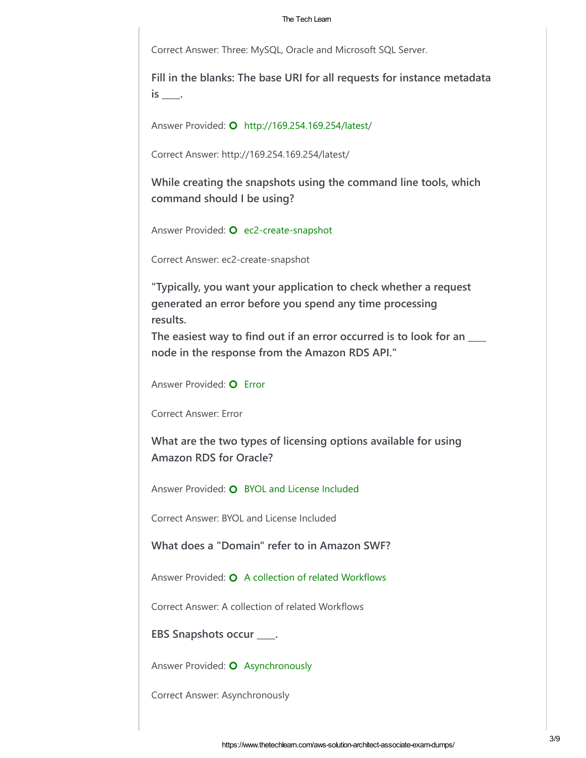#### The Tech Learn

Correct Answer: Three: MySQL, Oracle and Microsoft SQL Server.

**Fill in the blanks: The base URI for all requests for instance metadata is \_\_\_\_.**

Answer Provided: **O** http://169.254.169.254/latest/

Correct Answer: http://169.254.169.254/latest/

**While creating the snapshots using the command line tools, which command should I be using?**

Answer Provided: O ec2-create-snapshot

Correct Answer: ec2-create-snapshot

**"Typically, you want your application to check whether a request generated an error before you spend any time processing results.** 

**The easiest way to find out if an error occurred is to look for an \_\_\_\_ node in the response from the Amazon RDS API."**

Answer Provided: O Error

Correct Answer: Error

**What are the two types of licensing options available for using Amazon RDS for Oracle?**

Answer Provided: O BYOL and License Included

Correct Answer: BYOL and License Included

**What does a "Domain" refer to in Amazon SWF?**

Answer Provided:  $\bigcirc$  A collection of related Workflows

Correct Answer: A collection of related Workflows

**EBS Snapshots occur \_\_\_\_.**

Answer Provided: O Asynchronously

Correct Answer: Asynchronously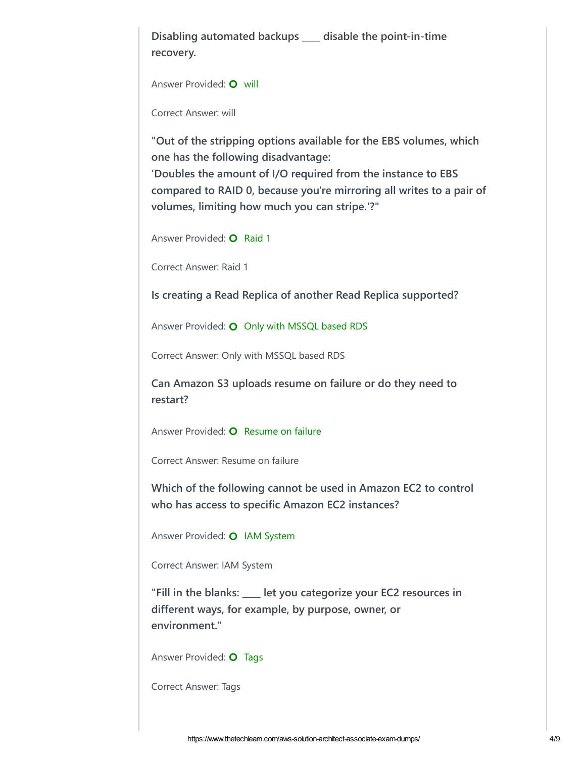**Disabling automated backups \_\_\_\_ disable the point-in-time recovery.**

```
Answer Provided: O will
```
Correct Answer: will

**"Out of the stripping options available for the EBS volumes, which one has the following disadvantage: 'Doubles the amount of I/O required from the instance to EBS compared to RAID 0, because you're mirroring all writes to a pair of volumes, limiting how much you can stripe.'?"**

Answer Provided: O Raid 1

Correct Answer: Raid 1

**Is creating a Read Replica of another Read Replica supported?**

Answer Provided: **O** Only with MSSQL based RDS

Correct Answer: Only with MSSQL based RDS

**Can Amazon S3 uploads resume on failure or do they need to restart?**

Answer Provided: O Resume on failure

Correct Answer: Resume on failure

**Which of the following cannot be used in Amazon EC2 to control who has access to specific Amazon EC2 instances?**

Answer Provided: **O** IAM System

Correct Answer: IAM System

**"Fill in the blanks: \_\_\_\_ let you categorize your EC2 resources in different ways, for example, by purpose, owner, or environment."**

Answer Provided: O Tags

Correct Answer: Tags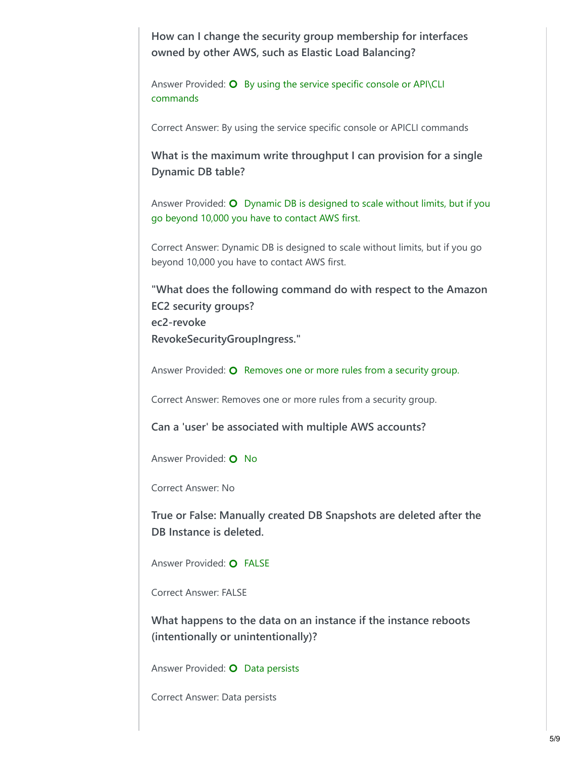**How can I change the security group membership for interfaces owned by other AWS, such as Elastic Load Balancing?**

Answer Provided:  $O$  By using the service specific console or API\CLI commands

Correct Answer: By using the service specific console or APICLI commands

**What is the maximum write throughput I can provision for a single Dynamic DB table?**

Answer Provided:  $\bullet$  Dynamic DB is designed to scale without limits, but if you go beyond 10,000 you have to contact AWS first.

Correct Answer: Dynamic DB is designed to scale without limits, but if you go beyond 10,000 you have to contact AWS first.

**"What does the following command do with respect to the Amazon EC2 security groups? ec2-revoke RevokeSecurityGroupIngress."**

Answer Provided:  $\bullet$  Removes one or more rules from a security group.

Correct Answer: Removes one or more rules from a security group.

**Can a 'user' be associated with multiple AWS accounts?**

Answer Provided: **O** No

Correct Answer: No

**True or False: Manually created DB Snapshots are deleted after the DB Instance is deleted.**

Answer Provided: O FALSE

Correct Answer: FALSE

**What happens to the data on an instance if the instance reboots (intentionally or unintentionally)?**

Answer Provided: **O** Data persists

Correct Answer: Data persists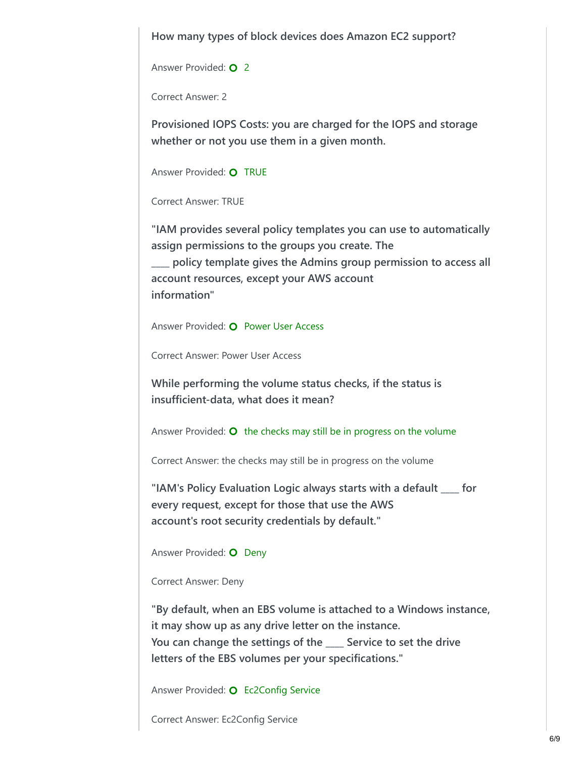**How many types of block devices does Amazon EC2 support?**

Answer Provided: **O** 2

Correct Answer: 2

**Provisioned IOPS Costs: you are charged for the IOPS and storage whether or not you use them in a given month.**

Answer Provided: O TRUE

Correct Answer: TRUE

**"IAM provides several policy templates you can use to automatically assign permissions to the groups you create. The \_\_\_\_ policy template gives the Admins group permission to access all account resources, except your AWS account information"**

Answer Provided: O Power User Access

Correct Answer: Power User Access

**While performing the volume status checks, if the status is insufficient-data, what does it mean?**

Answer Provided:  $\bullet$  the checks may still be in progress on the volume

Correct Answer: the checks may still be in progress on the volume

**"IAM's Policy Evaluation Logic always starts with a default \_\_\_\_ for every request, except for those that use the AWS account's root security credentials by default."**

Answer Provided: O Deny

### Correct Answer: Deny

**"By default, when an EBS volume is attached to a Windows instance, it may show up as any drive letter on the instance. You can change the settings of the \_\_\_\_ Service to set the drive letters of the EBS volumes per your specifications."**

Answer Provided: O Ec2Config Service

Correct Answer: Ec2Config Service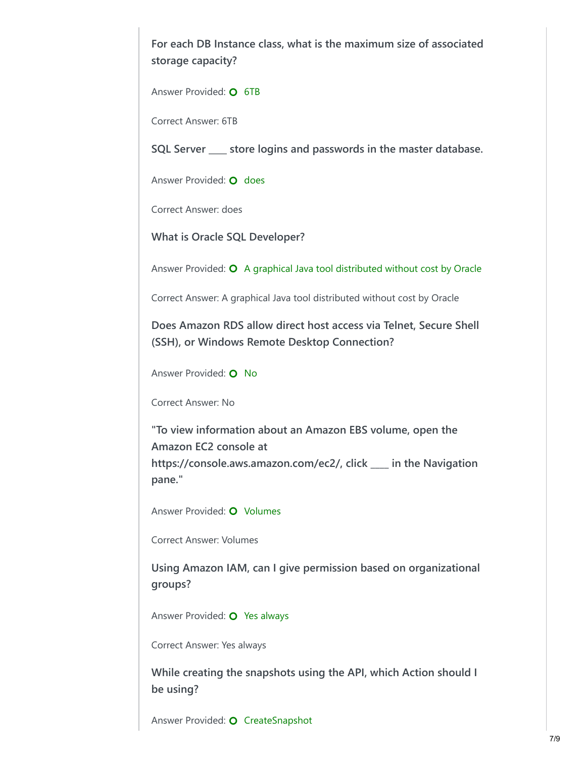**For each DB Instance class, what is the maximum size of associated storage capacity?**

Answer Provided: O 6TB

Correct Answer: 6TB

**SQL Server \_\_\_\_ store logins and passwords in the master database.**

Answer Provided: O does

Correct Answer: does

**What is Oracle SQL Developer?**

Answer Provided:  $\bigcirc$  A graphical Java tool distributed without cost by Oracle

Correct Answer: A graphical Java tool distributed without cost by Oracle

**Does Amazon RDS allow direct host access via Telnet, Secure Shell (SSH), or Windows Remote Desktop Connection?**

Answer Provided: **O** No

Correct Answer: No

**"To view information about an Amazon EBS volume, open the Amazon EC2 console at https://console.aws.amazon.com/ec2/, click \_\_\_\_ in the Navigation pane."**

Answer Provided: O Volumes

Correct Answer: Volumes

**Using Amazon IAM, can I give permission based on organizational groups?**

Answer Provided: O Yes always

Correct Answer: Yes always

**While creating the snapshots using the API, which Action should I be using?**

Answer Provided: O CreateSnapshot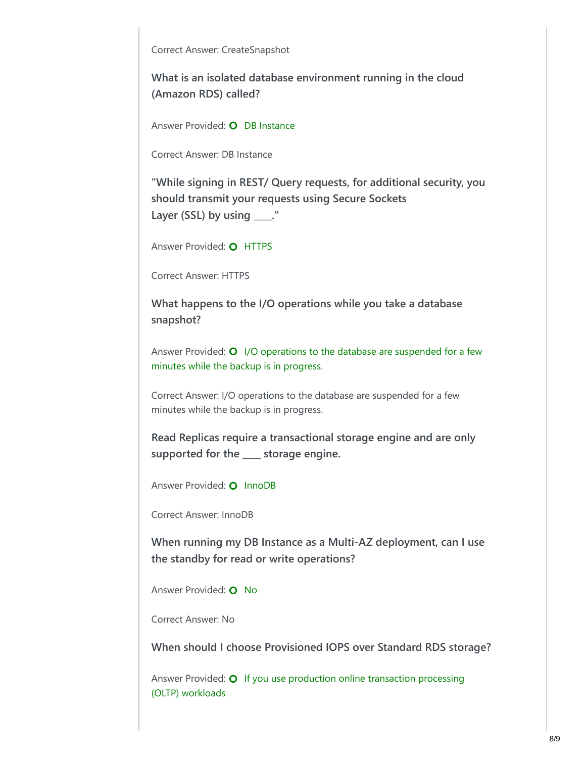Correct Answer: CreateSnapshot

**What is an isolated database environment running in the cloud (Amazon RDS) called?**

Answer Provided: O DB Instance

Correct Answer: DB Instance

**"While signing in REST/ Query requests, for additional security, you should transmit your requests using Secure Sockets Layer (SSL) by using \_\_\_\_."**

Answer Provided: O HTTPS

Correct Answer: HTTPS

**What happens to the I/O operations while you take a database snapshot?**

Answer Provided:  $\bigcirc$  I/O operations to the database are suspended for a few minutes while the backup is in progress.

Correct Answer: I/O operations to the database are suspended for a few minutes while the backup is in progress.

**Read Replicas require a transactional storage engine and are only supported for the \_\_\_\_ storage engine.**

Answer Provided: O InnoDB

Correct Answer: InnoDB

**When running my DB Instance as a Multi-AZ deployment, can I use the standby for read or write operations?**

Answer Provided: O No

Correct Answer: No

**When should I choose Provisioned IOPS over Standard RDS storage?**

Answer Provided: **O** If you use production online transaction processing (OLTP) workloads